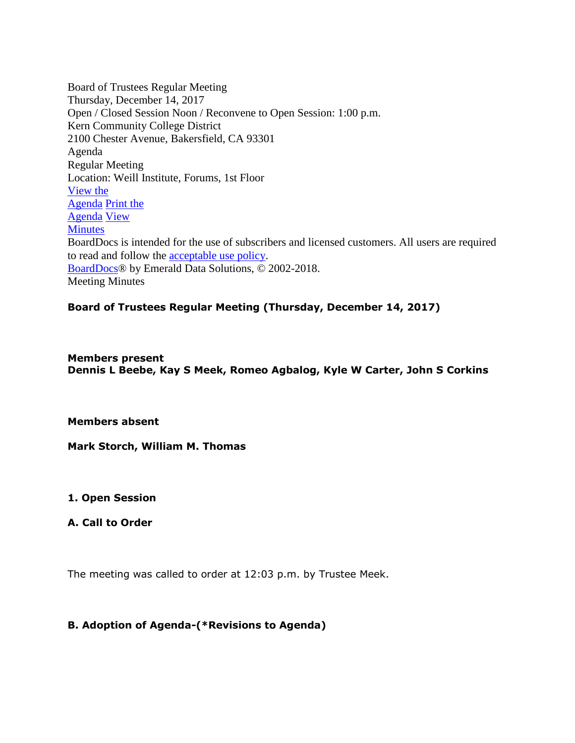Board of Trustees Regular Meeting Thursday, December 14, 2017 Open / Closed Session Noon / Reconvene to Open Session: 1:00 p.m. Kern Community College District 2100 Chester Avenue, Bakersfield, CA 93301 Agenda Regular Meeting Location: Weill Institute, Forums, 1st Floor [View the](https://www.boarddocs.com/ca/kccd/Board.nsf/goto?open&id=AXAMGW5953E9) [Agenda](https://www.boarddocs.com/ca/kccd/Board.nsf/goto?open&id=AXAMGW5953E9) [Print the](https://www.boarddocs.com/ca/kccd/Board.nsf/goto?open&id=AXAMGW5953E9) [Agenda](https://www.boarddocs.com/ca/kccd/Board.nsf/goto?open&id=AXAMGW5953E9) [View](https://www.boarddocs.com/ca/kccd/Board.nsf/goto?open&id=AXAMGW5953E9) **[Minutes](https://www.boarddocs.com/ca/kccd/Board.nsf/goto?open&id=AXAMGW5953E9)** BoardDocs is intended for the use of subscribers and licensed customers. All users are required to read and follow the [acceptable use policy.](http://www.boarddocs.com/Home.nsf/legal) [BoardDocs®](http://www.boarddocs.com/) by Emerald Data Solutions, © 2002-2018. Meeting Minutes

# **Board of Trustees Regular Meeting (Thursday, December 14, 2017)**

**Members present Dennis L Beebe, Kay S Meek, Romeo Agbalog, Kyle W Carter, John S Corkins**

**Members absent**

**Mark Storch, William M. Thomas**

**1. Open Session**

**A. Call to Order**

The meeting was called to order at 12:03 p.m. by Trustee Meek.

### **B. Adoption of Agenda-(\*Revisions to Agenda)**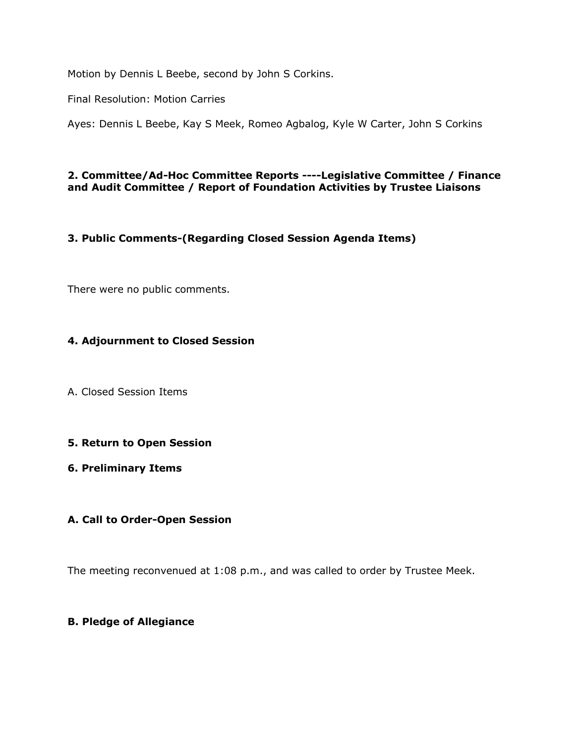Motion by Dennis L Beebe, second by John S Corkins.

Final Resolution: Motion Carries

Ayes: Dennis L Beebe, Kay S Meek, Romeo Agbalog, Kyle W Carter, John S Corkins

### **2. Committee/Ad-Hoc Committee Reports ----Legislative Committee / Finance and Audit Committee / Report of Foundation Activities by Trustee Liaisons**

# **3. Public Comments-(Regarding Closed Session Agenda Items)**

There were no public comments.

# **4. Adjournment to Closed Session**

A. Closed Session Items

### **5. Return to Open Session**

#### **6. Preliminary Items**

### **A. Call to Order-Open Session**

The meeting reconvenued at 1:08 p.m., and was called to order by Trustee Meek.

### **B. Pledge of Allegiance**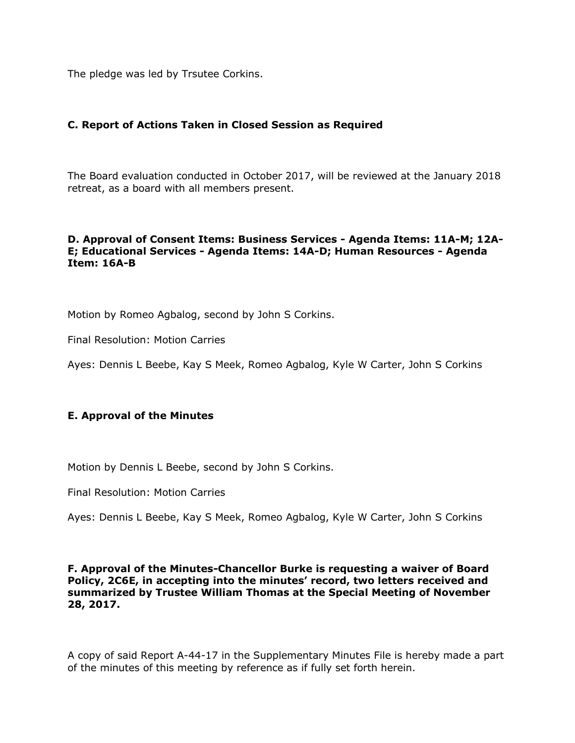The pledge was led by Trsutee Corkins.

### **C. Report of Actions Taken in Closed Session as Required**

The Board evaluation conducted in October 2017, will be reviewed at the January 2018 retreat, as a board with all members present.

### **D. Approval of Consent Items: Business Services - Agenda Items: 11A-M; 12A-E; Educational Services - Agenda Items: 14A-D; Human Resources - Agenda Item: 16A-B**

Motion by Romeo Agbalog, second by John S Corkins.

Final Resolution: Motion Carries

Ayes: Dennis L Beebe, Kay S Meek, Romeo Agbalog, Kyle W Carter, John S Corkins

### **E. Approval of the Minutes**

Motion by Dennis L Beebe, second by John S Corkins.

Final Resolution: Motion Carries

Ayes: Dennis L Beebe, Kay S Meek, Romeo Agbalog, Kyle W Carter, John S Corkins

#### **F. Approval of the Minutes-Chancellor Burke is requesting a waiver of Board Policy, 2C6E, in accepting into the minutes' record, two letters received and summarized by Trustee William Thomas at the Special Meeting of November 28, 2017.**

A copy of said Report A-44-17 in the Supplementary Minutes File is hereby made a part of the minutes of this meeting by reference as if fully set forth herein.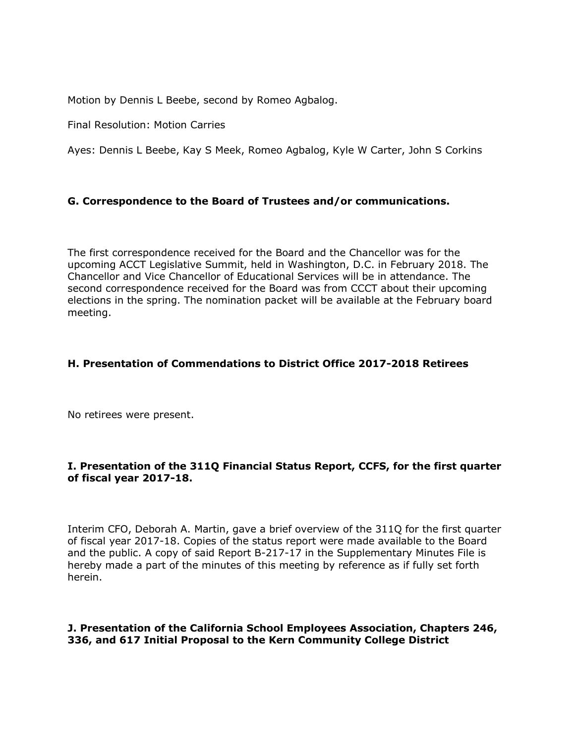Motion by Dennis L Beebe, second by Romeo Agbalog.

Final Resolution: Motion Carries

Ayes: Dennis L Beebe, Kay S Meek, Romeo Agbalog, Kyle W Carter, John S Corkins

# **G. Correspondence to the Board of Trustees and/or communications.**

The first correspondence received for the Board and the Chancellor was for the upcoming ACCT Legislative Summit, held in Washington, D.C. in February 2018. The Chancellor and Vice Chancellor of Educational Services will be in attendance. The second correspondence received for the Board was from CCCT about their upcoming elections in the spring. The nomination packet will be available at the February board meeting.

### **H. Presentation of Commendations to District Office 2017-2018 Retirees**

No retirees were present.

### **I. Presentation of the 311Q Financial Status Report, CCFS, for the first quarter of fiscal year 2017-18.**

Interim CFO, Deborah A. Martin, gave a brief overview of the 311Q for the first quarter of fiscal year 2017-18. Copies of the status report were made available to the Board and the public. A copy of said Report B-217-17 in the Supplementary Minutes File is hereby made a part of the minutes of this meeting by reference as if fully set forth herein.

### **J. Presentation of the California School Employees Association, Chapters 246, 336, and 617 Initial Proposal to the Kern Community College District**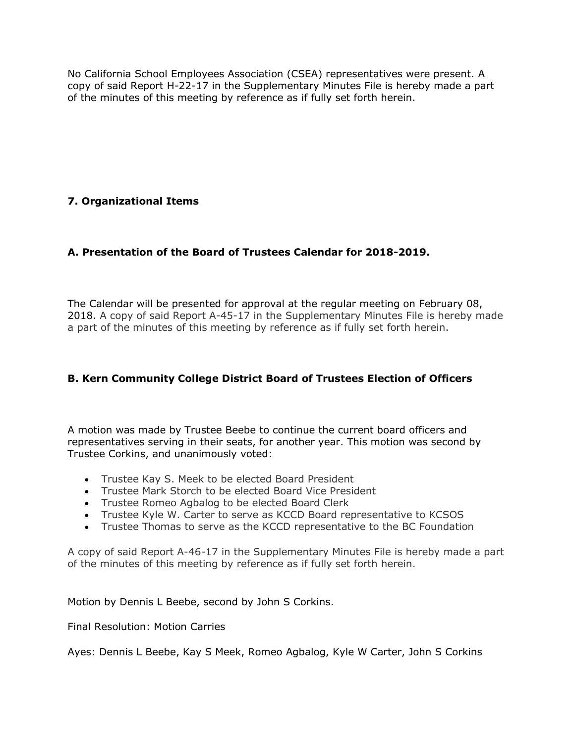No California School Employees Association (CSEA) representatives were present. A copy of said Report H-22-17 in the Supplementary Minutes File is hereby made a part of the minutes of this meeting by reference as if fully set forth herein.

# **7. Organizational Items**

# **A. Presentation of the Board of Trustees Calendar for 2018-2019.**

The Calendar will be presented for approval at the regular meeting on February 08, 2018. A copy of said Report A-45-17 in the Supplementary Minutes File is hereby made a part of the minutes of this meeting by reference as if fully set forth herein.

# **B. Kern Community College District Board of Trustees Election of Officers**

A motion was made by Trustee Beebe to continue the current board officers and representatives serving in their seats, for another year. This motion was second by Trustee Corkins, and unanimously voted:

- Trustee Kay S. Meek to be elected Board President
- Trustee Mark Storch to be elected Board Vice President
- Trustee Romeo Agbalog to be elected Board Clerk
- Trustee Kyle W. Carter to serve as KCCD Board representative to KCSOS
- Trustee Thomas to serve as the KCCD representative to the BC Foundation

A copy of said Report A-46-17 in the Supplementary Minutes File is hereby made a part of the minutes of this meeting by reference as if fully set forth herein.

Motion by Dennis L Beebe, second by John S Corkins.

Final Resolution: Motion Carries

Ayes: Dennis L Beebe, Kay S Meek, Romeo Agbalog, Kyle W Carter, John S Corkins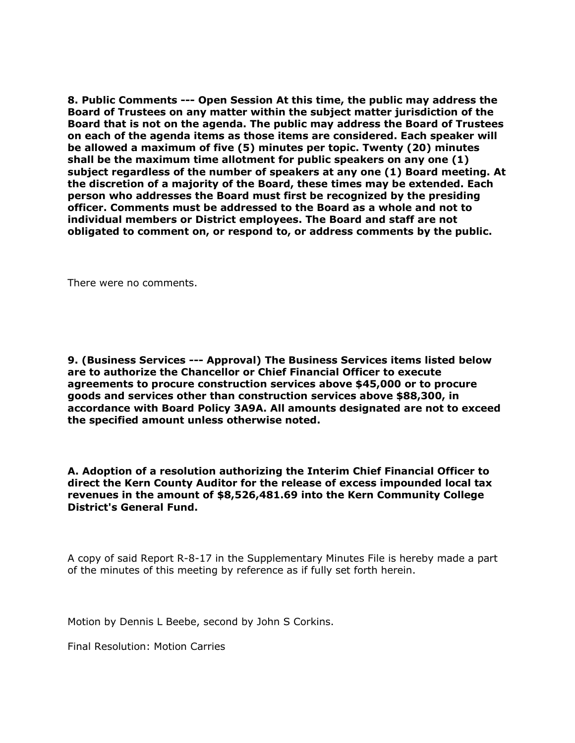**8. Public Comments --- Open Session At this time, the public may address the Board of Trustees on any matter within the subject matter jurisdiction of the Board that is not on the agenda. The public may address the Board of Trustees on each of the agenda items as those items are considered. Each speaker will be allowed a maximum of five (5) minutes per topic. Twenty (20) minutes shall be the maximum time allotment for public speakers on any one (1) subject regardless of the number of speakers at any one (1) Board meeting. At the discretion of a majority of the Board, these times may be extended. Each person who addresses the Board must first be recognized by the presiding officer. Comments must be addressed to the Board as a whole and not to individual members or District employees. The Board and staff are not obligated to comment on, or respond to, or address comments by the public.**

There were no comments.

**9. (Business Services --- Approval) The Business Services items listed below are to authorize the Chancellor or Chief Financial Officer to execute agreements to procure construction services above \$45,000 or to procure goods and services other than construction services above \$88,300, in accordance with Board Policy 3A9A. All amounts designated are not to exceed the specified amount unless otherwise noted.**

**A. Adoption of a resolution authorizing the Interim Chief Financial Officer to direct the Kern County Auditor for the release of excess impounded local tax revenues in the amount of \$8,526,481.69 into the Kern Community College District's General Fund.**

A copy of said Report R-8-17 in the Supplementary Minutes File is hereby made a part of the minutes of this meeting by reference as if fully set forth herein.

Motion by Dennis L Beebe, second by John S Corkins.

Final Resolution: Motion Carries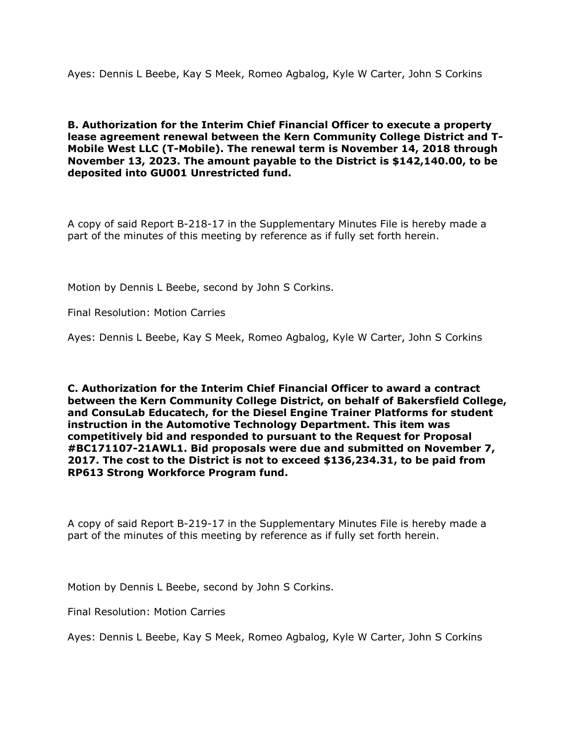Ayes: Dennis L Beebe, Kay S Meek, Romeo Agbalog, Kyle W Carter, John S Corkins

**B. Authorization for the Interim Chief Financial Officer to execute a property lease agreement renewal between the Kern Community College District and T-Mobile West LLC (T-Mobile). The renewal term is November 14, 2018 through November 13, 2023. The amount payable to the District is \$142,140.00, to be deposited into GU001 Unrestricted fund.**

A copy of said Report B-218-17 in the Supplementary Minutes File is hereby made a part of the minutes of this meeting by reference as if fully set forth herein.

Motion by Dennis L Beebe, second by John S Corkins.

Final Resolution: Motion Carries

Ayes: Dennis L Beebe, Kay S Meek, Romeo Agbalog, Kyle W Carter, John S Corkins

**C. Authorization for the Interim Chief Financial Officer to award a contract between the Kern Community College District, on behalf of Bakersfield College, and ConsuLab Educatech, for the Diesel Engine Trainer Platforms for student instruction in the Automotive Technology Department. This item was competitively bid and responded to pursuant to the Request for Proposal #BC171107-21AWL1. Bid proposals were due and submitted on November 7, 2017. The cost to the District is not to exceed \$136,234.31, to be paid from RP613 Strong Workforce Program fund.**

A copy of said Report B-219-17 in the Supplementary Minutes File is hereby made a part of the minutes of this meeting by reference as if fully set forth herein.

Motion by Dennis L Beebe, second by John S Corkins.

Final Resolution: Motion Carries

Ayes: Dennis L Beebe, Kay S Meek, Romeo Agbalog, Kyle W Carter, John S Corkins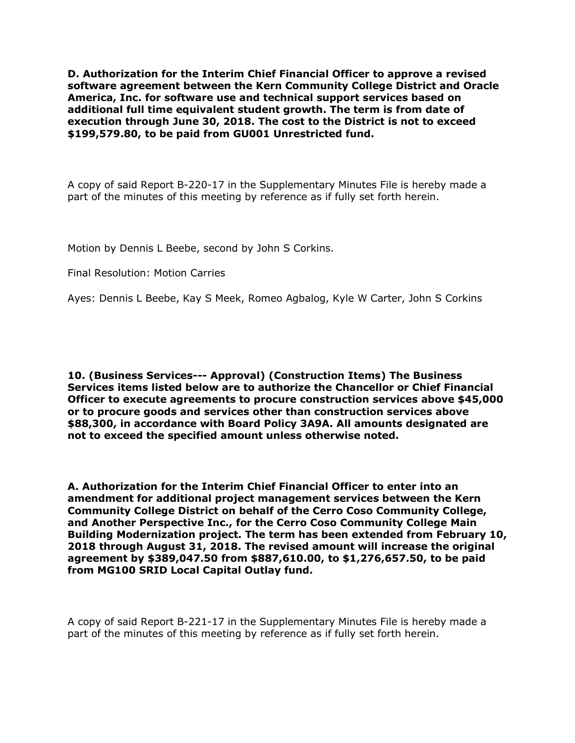**D. Authorization for the Interim Chief Financial Officer to approve a revised software agreement between the Kern Community College District and Oracle America, Inc. for software use and technical support services based on additional full time equivalent student growth. The term is from date of execution through June 30, 2018. The cost to the District is not to exceed \$199,579.80, to be paid from GU001 Unrestricted fund.**

A copy of said Report B-220-17 in the Supplementary Minutes File is hereby made a part of the minutes of this meeting by reference as if fully set forth herein.

Motion by Dennis L Beebe, second by John S Corkins.

Final Resolution: Motion Carries

Ayes: Dennis L Beebe, Kay S Meek, Romeo Agbalog, Kyle W Carter, John S Corkins

**10. (Business Services--- Approval) (Construction Items) The Business Services items listed below are to authorize the Chancellor or Chief Financial Officer to execute agreements to procure construction services above \$45,000 or to procure goods and services other than construction services above \$88,300, in accordance with Board Policy 3A9A. All amounts designated are not to exceed the specified amount unless otherwise noted.**

**A. Authorization for the Interim Chief Financial Officer to enter into an amendment for additional project management services between the Kern Community College District on behalf of the Cerro Coso Community College, and Another Perspective Inc., for the Cerro Coso Community College Main Building Modernization project. The term has been extended from February 10, 2018 through August 31, 2018. The revised amount will increase the original agreement by \$389,047.50 from \$887,610.00, to \$1,276,657.50, to be paid from MG100 SRID Local Capital Outlay fund.**

A copy of said Report B-221-17 in the Supplementary Minutes File is hereby made a part of the minutes of this meeting by reference as if fully set forth herein.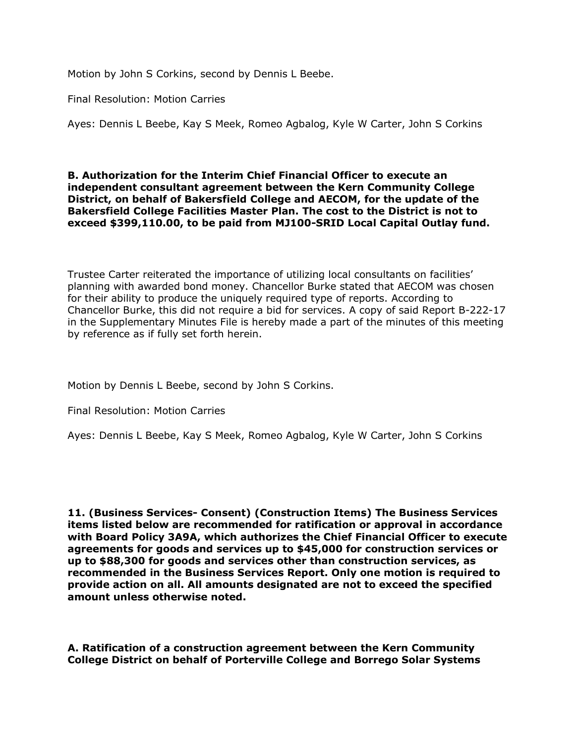Motion by John S Corkins, second by Dennis L Beebe.

Final Resolution: Motion Carries

Ayes: Dennis L Beebe, Kay S Meek, Romeo Agbalog, Kyle W Carter, John S Corkins

#### **B. Authorization for the Interim Chief Financial Officer to execute an independent consultant agreement between the Kern Community College District, on behalf of Bakersfield College and AECOM, for the update of the Bakersfield College Facilities Master Plan. The cost to the District is not to exceed \$399,110.00, to be paid from MJ100-SRID Local Capital Outlay fund.**

Trustee Carter reiterated the importance of utilizing local consultants on facilities' planning with awarded bond money. Chancellor Burke stated that AECOM was chosen for their ability to produce the uniquely required type of reports. According to Chancellor Burke, this did not require a bid for services. A copy of said Report B-222-17 in the Supplementary Minutes File is hereby made a part of the minutes of this meeting by reference as if fully set forth herein.

Motion by Dennis L Beebe, second by John S Corkins.

Final Resolution: Motion Carries

Ayes: Dennis L Beebe, Kay S Meek, Romeo Agbalog, Kyle W Carter, John S Corkins

**11. (Business Services- Consent) (Construction Items) The Business Services items listed below are recommended for ratification or approval in accordance with Board Policy 3A9A, which authorizes the Chief Financial Officer to execute agreements for goods and services up to \$45,000 for construction services or up to \$88,300 for goods and services other than construction services, as recommended in the Business Services Report. Only one motion is required to provide action on all. All amounts designated are not to exceed the specified amount unless otherwise noted.**

**A. Ratification of a construction agreement between the Kern Community College District on behalf of Porterville College and Borrego Solar Systems**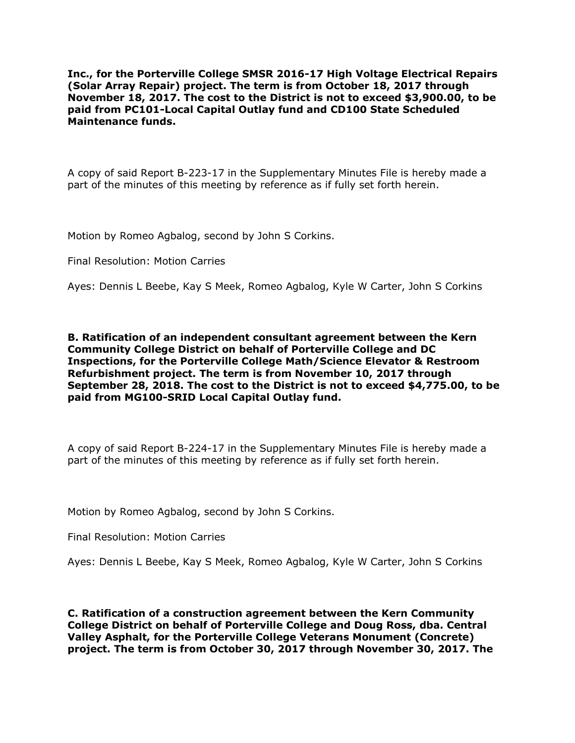**Inc., for the Porterville College SMSR 2016-17 High Voltage Electrical Repairs (Solar Array Repair) project. The term is from October 18, 2017 through November 18, 2017. The cost to the District is not to exceed \$3,900.00, to be paid from PC101-Local Capital Outlay fund and CD100 State Scheduled Maintenance funds.**

A copy of said Report B-223-17 in the Supplementary Minutes File is hereby made a part of the minutes of this meeting by reference as if fully set forth herein.

Motion by Romeo Agbalog, second by John S Corkins.

Final Resolution: Motion Carries

Ayes: Dennis L Beebe, Kay S Meek, Romeo Agbalog, Kyle W Carter, John S Corkins

**B. Ratification of an independent consultant agreement between the Kern Community College District on behalf of Porterville College and DC Inspections, for the Porterville College Math/Science Elevator & Restroom Refurbishment project. The term is from November 10, 2017 through September 28, 2018. The cost to the District is not to exceed \$4,775.00, to be paid from MG100-SRID Local Capital Outlay fund.**

A copy of said Report B-224-17 in the Supplementary Minutes File is hereby made a part of the minutes of this meeting by reference as if fully set forth herein.

Motion by Romeo Agbalog, second by John S Corkins.

Final Resolution: Motion Carries

Ayes: Dennis L Beebe, Kay S Meek, Romeo Agbalog, Kyle W Carter, John S Corkins

**C. Ratification of a construction agreement between the Kern Community College District on behalf of Porterville College and Doug Ross, dba. Central Valley Asphalt, for the Porterville College Veterans Monument (Concrete) project. The term is from October 30, 2017 through November 30, 2017. The**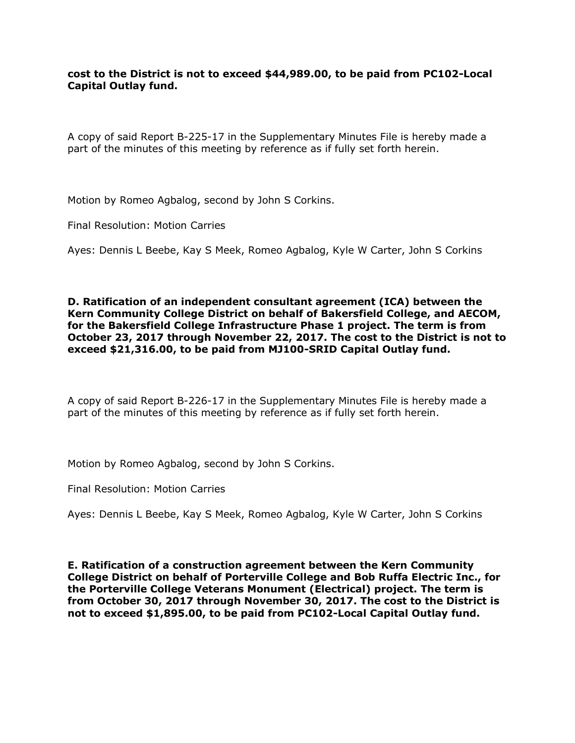**cost to the District is not to exceed \$44,989.00, to be paid from PC102-Local Capital Outlay fund.**

A copy of said Report B-225-17 in the Supplementary Minutes File is hereby made a part of the minutes of this meeting by reference as if fully set forth herein.

Motion by Romeo Agbalog, second by John S Corkins.

Final Resolution: Motion Carries

Ayes: Dennis L Beebe, Kay S Meek, Romeo Agbalog, Kyle W Carter, John S Corkins

**D. Ratification of an independent consultant agreement (ICA) between the Kern Community College District on behalf of Bakersfield College, and AECOM, for the Bakersfield College Infrastructure Phase 1 project. The term is from October 23, 2017 through November 22, 2017. The cost to the District is not to exceed \$21,316.00, to be paid from MJ100-SRID Capital Outlay fund.**

A copy of said Report B-226-17 in the Supplementary Minutes File is hereby made a part of the minutes of this meeting by reference as if fully set forth herein.

Motion by Romeo Agbalog, second by John S Corkins.

Final Resolution: Motion Carries

Ayes: Dennis L Beebe, Kay S Meek, Romeo Agbalog, Kyle W Carter, John S Corkins

**E. Ratification of a construction agreement between the Kern Community College District on behalf of Porterville College and Bob Ruffa Electric Inc., for the Porterville College Veterans Monument (Electrical) project. The term is from October 30, 2017 through November 30, 2017. The cost to the District is not to exceed \$1,895.00, to be paid from PC102-Local Capital Outlay fund.**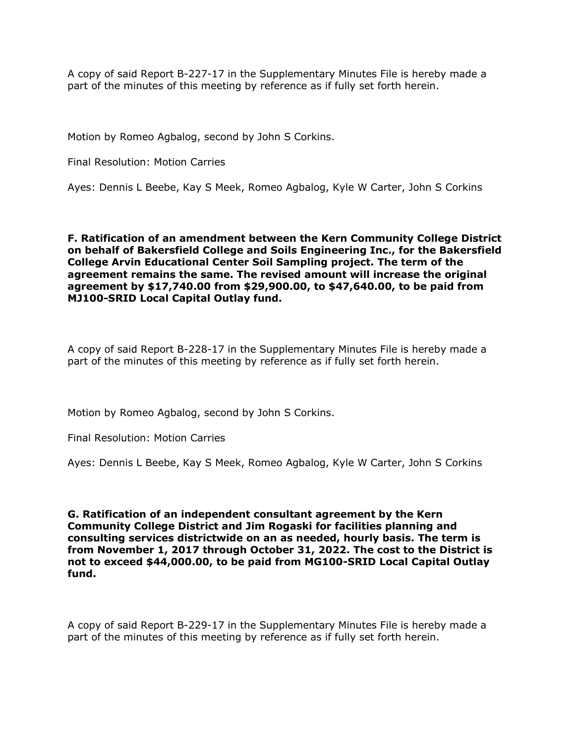A copy of said Report B-227-17 in the Supplementary Minutes File is hereby made a part of the minutes of this meeting by reference as if fully set forth herein.

Motion by Romeo Agbalog, second by John S Corkins.

Final Resolution: Motion Carries

Ayes: Dennis L Beebe, Kay S Meek, Romeo Agbalog, Kyle W Carter, John S Corkins

**F. Ratification of an amendment between the Kern Community College District on behalf of Bakersfield College and Soils Engineering Inc., for the Bakersfield College Arvin Educational Center Soil Sampling project. The term of the agreement remains the same. The revised amount will increase the original agreement by \$17,740.00 from \$29,900.00, to \$47,640.00, to be paid from MJ100-SRID Local Capital Outlay fund.**

A copy of said Report B-228-17 in the Supplementary Minutes File is hereby made a part of the minutes of this meeting by reference as if fully set forth herein.

Motion by Romeo Agbalog, second by John S Corkins.

Final Resolution: Motion Carries

Ayes: Dennis L Beebe, Kay S Meek, Romeo Agbalog, Kyle W Carter, John S Corkins

**G. Ratification of an independent consultant agreement by the Kern Community College District and Jim Rogaski for facilities planning and consulting services districtwide on an as needed, hourly basis. The term is from November 1, 2017 through October 31, 2022. The cost to the District is not to exceed \$44,000.00, to be paid from MG100-SRID Local Capital Outlay fund.**

A copy of said Report B-229-17 in the Supplementary Minutes File is hereby made a part of the minutes of this meeting by reference as if fully set forth herein.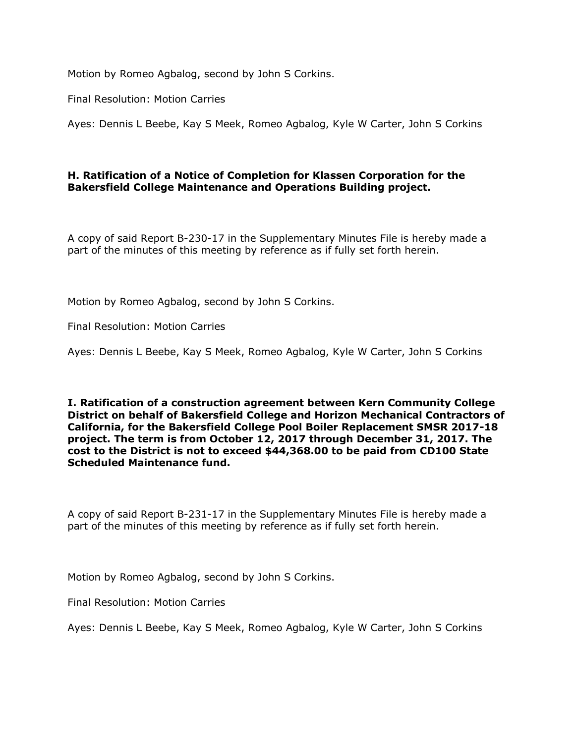Motion by Romeo Agbalog, second by John S Corkins.

Final Resolution: Motion Carries

Ayes: Dennis L Beebe, Kay S Meek, Romeo Agbalog, Kyle W Carter, John S Corkins

### **H. Ratification of a Notice of Completion for Klassen Corporation for the Bakersfield College Maintenance and Operations Building project.**

A copy of said Report B-230-17 in the Supplementary Minutes File is hereby made a part of the minutes of this meeting by reference as if fully set forth herein.

Motion by Romeo Agbalog, second by John S Corkins.

Final Resolution: Motion Carries

Ayes: Dennis L Beebe, Kay S Meek, Romeo Agbalog, Kyle W Carter, John S Corkins

**I. Ratification of a construction agreement between Kern Community College District on behalf of Bakersfield College and Horizon Mechanical Contractors of California, for the Bakersfield College Pool Boiler Replacement SMSR 2017-18 project. The term is from October 12, 2017 through December 31, 2017. The cost to the District is not to exceed \$44,368.00 to be paid from CD100 State Scheduled Maintenance fund.**

A copy of said Report B-231-17 in the Supplementary Minutes File is hereby made a part of the minutes of this meeting by reference as if fully set forth herein.

Motion by Romeo Agbalog, second by John S Corkins.

Final Resolution: Motion Carries

Ayes: Dennis L Beebe, Kay S Meek, Romeo Agbalog, Kyle W Carter, John S Corkins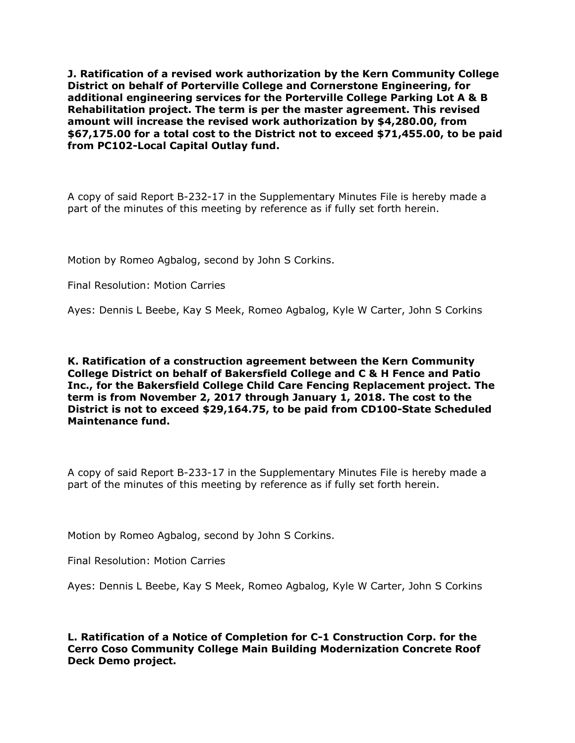**J. Ratification of a revised work authorization by the Kern Community College District on behalf of Porterville College and Cornerstone Engineering, for additional engineering services for the Porterville College Parking Lot A & B Rehabilitation project. The term is per the master agreement. This revised amount will increase the revised work authorization by \$4,280.00, from \$67,175.00 for a total cost to the District not to exceed \$71,455.00, to be paid from PC102-Local Capital Outlay fund.**

A copy of said Report B-232-17 in the Supplementary Minutes File is hereby made a part of the minutes of this meeting by reference as if fully set forth herein.

Motion by Romeo Agbalog, second by John S Corkins.

Final Resolution: Motion Carries

Ayes: Dennis L Beebe, Kay S Meek, Romeo Agbalog, Kyle W Carter, John S Corkins

**K. Ratification of a construction agreement between the Kern Community College District on behalf of Bakersfield College and C & H Fence and Patio Inc., for the Bakersfield College Child Care Fencing Replacement project. The term is from November 2, 2017 through January 1, 2018. The cost to the District is not to exceed \$29,164.75, to be paid from CD100-State Scheduled Maintenance fund.**

A copy of said Report B-233-17 in the Supplementary Minutes File is hereby made a part of the minutes of this meeting by reference as if fully set forth herein.

Motion by Romeo Agbalog, second by John S Corkins.

Final Resolution: Motion Carries

Ayes: Dennis L Beebe, Kay S Meek, Romeo Agbalog, Kyle W Carter, John S Corkins

**L. Ratification of a Notice of Completion for C-1 Construction Corp. for the Cerro Coso Community College Main Building Modernization Concrete Roof Deck Demo project.**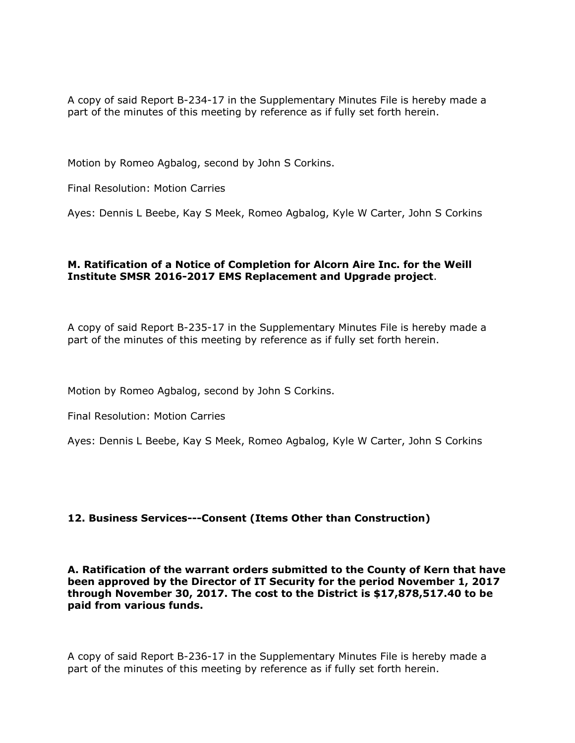A copy of said Report B-234-17 in the Supplementary Minutes File is hereby made a part of the minutes of this meeting by reference as if fully set forth herein.

Motion by Romeo Agbalog, second by John S Corkins.

Final Resolution: Motion Carries

Ayes: Dennis L Beebe, Kay S Meek, Romeo Agbalog, Kyle W Carter, John S Corkins

### **M. Ratification of a Notice of Completion for Alcorn Aire Inc. for the Weill Institute SMSR 2016-2017 EMS Replacement and Upgrade project**.

A copy of said Report B-235-17 in the Supplementary Minutes File is hereby made a part of the minutes of this meeting by reference as if fully set forth herein.

Motion by Romeo Agbalog, second by John S Corkins.

Final Resolution: Motion Carries

Ayes: Dennis L Beebe, Kay S Meek, Romeo Agbalog, Kyle W Carter, John S Corkins

### **12. Business Services---Consent (Items Other than Construction)**

**A. Ratification of the warrant orders submitted to the County of Kern that have been approved by the Director of IT Security for the period November 1, 2017 through November 30, 2017. The cost to the District is \$17,878,517.40 to be paid from various funds.**

A copy of said Report B-236-17 in the Supplementary Minutes File is hereby made a part of the minutes of this meeting by reference as if fully set forth herein.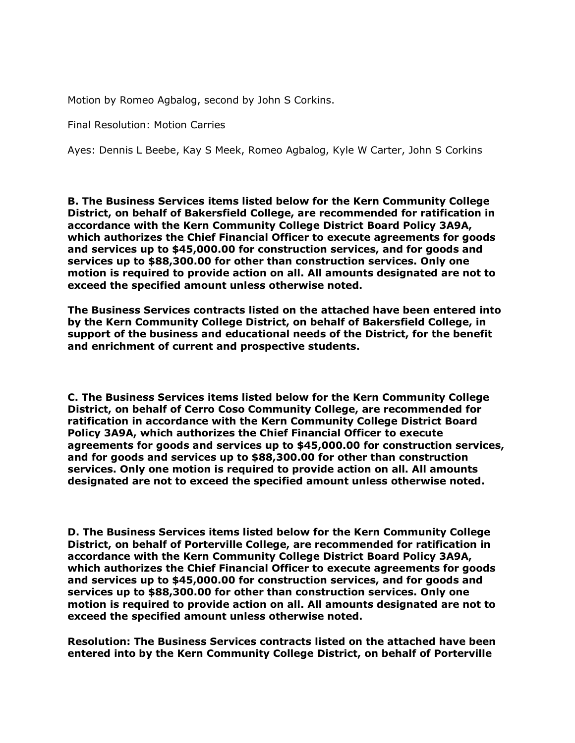Motion by Romeo Agbalog, second by John S Corkins.

Final Resolution: Motion Carries

Ayes: Dennis L Beebe, Kay S Meek, Romeo Agbalog, Kyle W Carter, John S Corkins

**B. The Business Services items listed below for the Kern Community College District, on behalf of Bakersfield College, are recommended for ratification in accordance with the Kern Community College District Board Policy 3A9A, which authorizes the Chief Financial Officer to execute agreements for goods and services up to \$45,000.00 for construction services, and for goods and services up to \$88,300.00 for other than construction services. Only one motion is required to provide action on all. All amounts designated are not to exceed the specified amount unless otherwise noted.**

**The Business Services contracts listed on the attached have been entered into by the Kern Community College District, on behalf of Bakersfield College, in support of the business and educational needs of the District, for the benefit and enrichment of current and prospective students.**

**C. The Business Services items listed below for the Kern Community College District, on behalf of Cerro Coso Community College, are recommended for ratification in accordance with the Kern Community College District Board Policy 3A9A, which authorizes the Chief Financial Officer to execute agreements for goods and services up to \$45,000.00 for construction services, and for goods and services up to \$88,300.00 for other than construction services. Only one motion is required to provide action on all. All amounts designated are not to exceed the specified amount unless otherwise noted.**

**D. The Business Services items listed below for the Kern Community College District, on behalf of Porterville College, are recommended for ratification in accordance with the Kern Community College District Board Policy 3A9A, which authorizes the Chief Financial Officer to execute agreements for goods and services up to \$45,000.00 for construction services, and for goods and services up to \$88,300.00 for other than construction services. Only one motion is required to provide action on all. All amounts designated are not to exceed the specified amount unless otherwise noted.**

**Resolution: The Business Services contracts listed on the attached have been entered into by the Kern Community College District, on behalf of Porterville**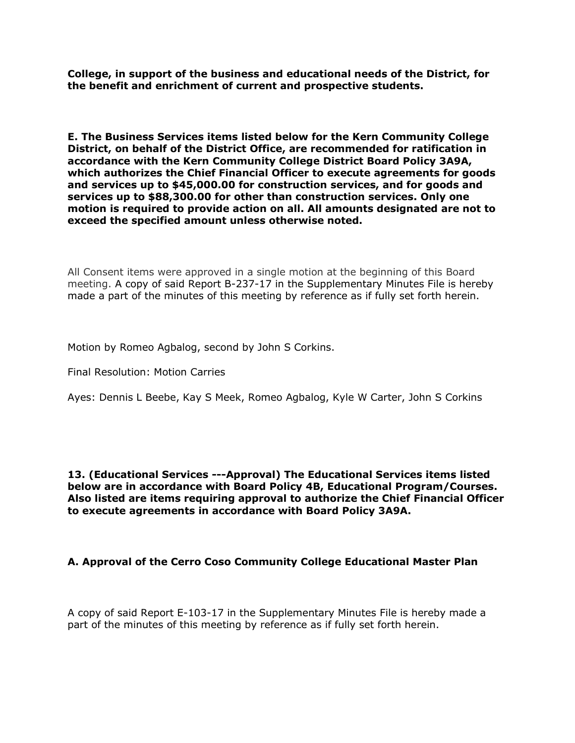**College, in support of the business and educational needs of the District, for the benefit and enrichment of current and prospective students.**

**E. The Business Services items listed below for the Kern Community College District, on behalf of the District Office, are recommended for ratification in accordance with the Kern Community College District Board Policy 3A9A, which authorizes the Chief Financial Officer to execute agreements for goods and services up to \$45,000.00 for construction services, and for goods and services up to \$88,300.00 for other than construction services. Only one motion is required to provide action on all. All amounts designated are not to exceed the specified amount unless otherwise noted.**

All Consent items were approved in a single motion at the beginning of this Board meeting. A copy of said Report B-237-17 in the Supplementary Minutes File is hereby made a part of the minutes of this meeting by reference as if fully set forth herein.

Motion by Romeo Agbalog, second by John S Corkins.

Final Resolution: Motion Carries

Ayes: Dennis L Beebe, Kay S Meek, Romeo Agbalog, Kyle W Carter, John S Corkins

**13. (Educational Services ---Approval) The Educational Services items listed below are in accordance with Board Policy 4B, Educational Program/Courses. Also listed are items requiring approval to authorize the Chief Financial Officer to execute agreements in accordance with Board Policy 3A9A.**

### **A. Approval of the Cerro Coso Community College Educational Master Plan**

A copy of said Report E-103-17 in the Supplementary Minutes File is hereby made a part of the minutes of this meeting by reference as if fully set forth herein.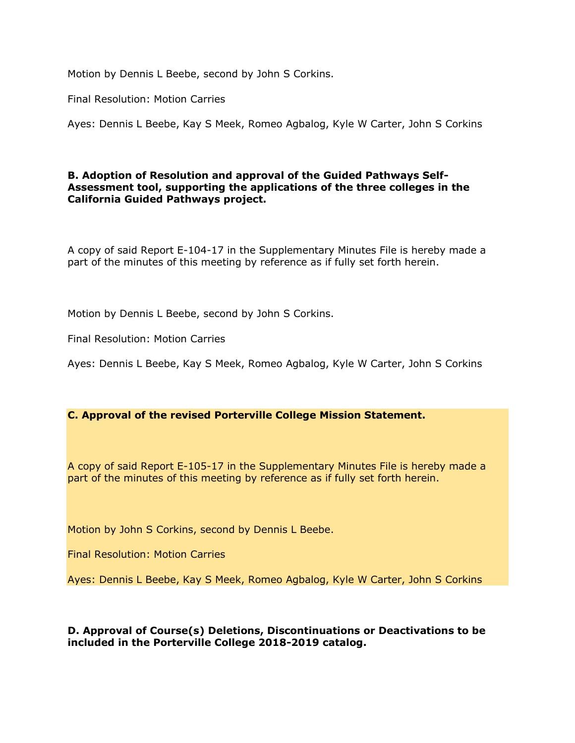Motion by Dennis L Beebe, second by John S Corkins.

Final Resolution: Motion Carries

Ayes: Dennis L Beebe, Kay S Meek, Romeo Agbalog, Kyle W Carter, John S Corkins

#### **B. Adoption of Resolution and approval of the Guided Pathways Self-Assessment tool, supporting the applications of the three colleges in the California Guided Pathways project.**

A copy of said Report E-104-17 in the Supplementary Minutes File is hereby made a part of the minutes of this meeting by reference as if fully set forth herein.

Motion by Dennis L Beebe, second by John S Corkins.

Final Resolution: Motion Carries

Ayes: Dennis L Beebe, Kay S Meek, Romeo Agbalog, Kyle W Carter, John S Corkins

### **C. Approval of the revised Porterville College Mission Statement.**

A copy of said Report E-105-17 in the Supplementary Minutes File is hereby made a part of the minutes of this meeting by reference as if fully set forth herein.

Motion by John S Corkins, second by Dennis L Beebe.

Final Resolution: Motion Carries

Ayes: Dennis L Beebe, Kay S Meek, Romeo Agbalog, Kyle W Carter, John S Corkins

### **D. Approval of Course(s) Deletions, Discontinuations or Deactivations to be included in the Porterville College 2018-2019 catalog.**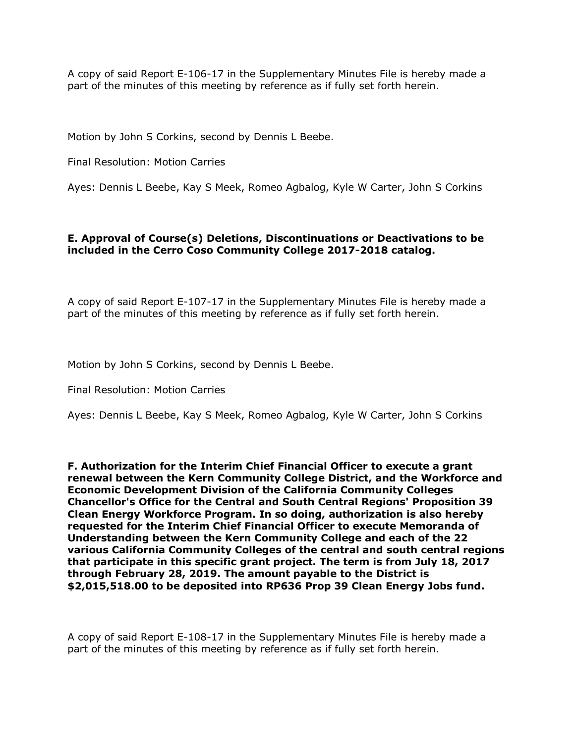A copy of said Report E-106-17 in the Supplementary Minutes File is hereby made a part of the minutes of this meeting by reference as if fully set forth herein.

Motion by John S Corkins, second by Dennis L Beebe.

Final Resolution: Motion Carries

Ayes: Dennis L Beebe, Kay S Meek, Romeo Agbalog, Kyle W Carter, John S Corkins

## **E. Approval of Course(s) Deletions, Discontinuations or Deactivations to be included in the Cerro Coso Community College 2017-2018 catalog.**

A copy of said Report E-107-17 in the Supplementary Minutes File is hereby made a part of the minutes of this meeting by reference as if fully set forth herein.

Motion by John S Corkins, second by Dennis L Beebe.

Final Resolution: Motion Carries

Ayes: Dennis L Beebe, Kay S Meek, Romeo Agbalog, Kyle W Carter, John S Corkins

**F. Authorization for the Interim Chief Financial Officer to execute a grant renewal between the Kern Community College District, and the Workforce and Economic Development Division of the California Community Colleges Chancellor's Office for the Central and South Central Regions' Proposition 39 Clean Energy Workforce Program. In so doing, authorization is also hereby requested for the Interim Chief Financial Officer to execute Memoranda of Understanding between the Kern Community College and each of the 22 various California Community Colleges of the central and south central regions that participate in this specific grant project. The term is from July 18, 2017 through February 28, 2019. The amount payable to the District is \$2,015,518.00 to be deposited into RP636 Prop 39 Clean Energy Jobs fund.**

A copy of said Report E-108-17 in the Supplementary Minutes File is hereby made a part of the minutes of this meeting by reference as if fully set forth herein.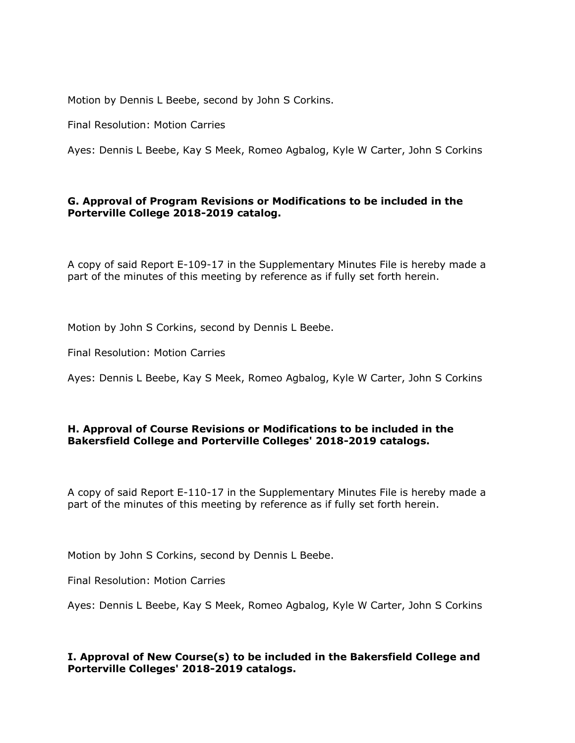Motion by Dennis L Beebe, second by John S Corkins.

Final Resolution: Motion Carries

Ayes: Dennis L Beebe, Kay S Meek, Romeo Agbalog, Kyle W Carter, John S Corkins

## **G. Approval of Program Revisions or Modifications to be included in the Porterville College 2018-2019 catalog.**

A copy of said Report E-109-17 in the Supplementary Minutes File is hereby made a part of the minutes of this meeting by reference as if fully set forth herein.

Motion by John S Corkins, second by Dennis L Beebe.

Final Resolution: Motion Carries

Ayes: Dennis L Beebe, Kay S Meek, Romeo Agbalog, Kyle W Carter, John S Corkins

### **H. Approval of Course Revisions or Modifications to be included in the Bakersfield College and Porterville Colleges' 2018-2019 catalogs.**

A copy of said Report E-110-17 in the Supplementary Minutes File is hereby made a part of the minutes of this meeting by reference as if fully set forth herein.

Motion by John S Corkins, second by Dennis L Beebe.

Final Resolution: Motion Carries

Ayes: Dennis L Beebe, Kay S Meek, Romeo Agbalog, Kyle W Carter, John S Corkins

# **I. Approval of New Course(s) to be included in the Bakersfield College and Porterville Colleges' 2018-2019 catalogs.**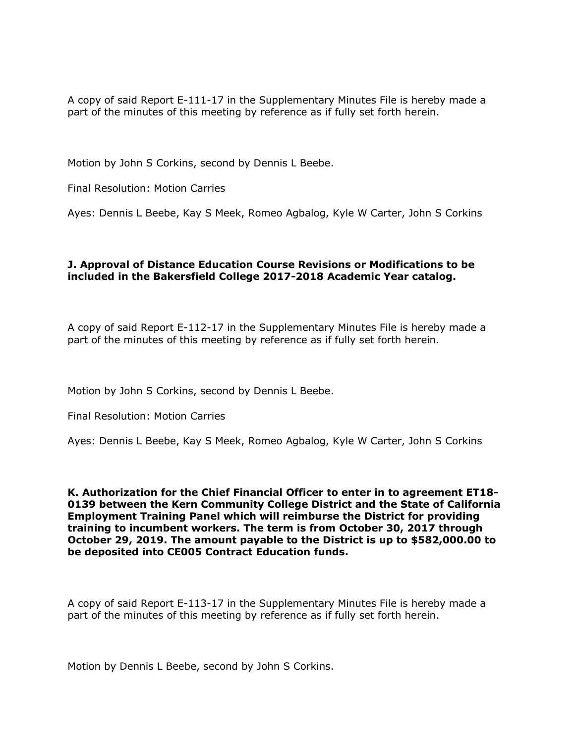A copy of said Report E-111-17 in the Supplementary Minutes File is hereby made a part of the minutes of this meeting by reference as if fully set forth herein.

Motion by John S Corkins, second by Dennis L Beebe.

Final Resolution: Motion Carries

Ayes: Dennis L Beebe, Kay S Meek, Romeo Agbalog, Kyle W Carter, John S Corkins

### **J. Approval of Distance Education Course Revisions or Modifications to be included in the Bakersfield College 2017-2018 Academic Year catalog.**

A copy of said Report E-112-17 in the Supplementary Minutes File is hereby made a part of the minutes of this meeting by reference as if fully set forth herein.

Motion by John S Corkins, second by Dennis L Beebe.

Final Resolution: Motion Carries

Ayes: Dennis L Beebe, Kay S Meek, Romeo Agbalog, Kyle W Carter, John S Corkins

**K. Authorization for the Chief Financial Officer to enter in to agreement ET18- 0139 between the Kern Community College District and the State of California Employment Training Panel which will reimburse the District for providing training to incumbent workers. The term is from October 30, 2017 through October 29, 2019. The amount payable to the District is up to \$582,000.00 to be deposited into CE005 Contract Education funds.**

A copy of said Report E-113-17 in the Supplementary Minutes File is hereby made a part of the minutes of this meeting by reference as if fully set forth herein.

Motion by Dennis L Beebe, second by John S Corkins.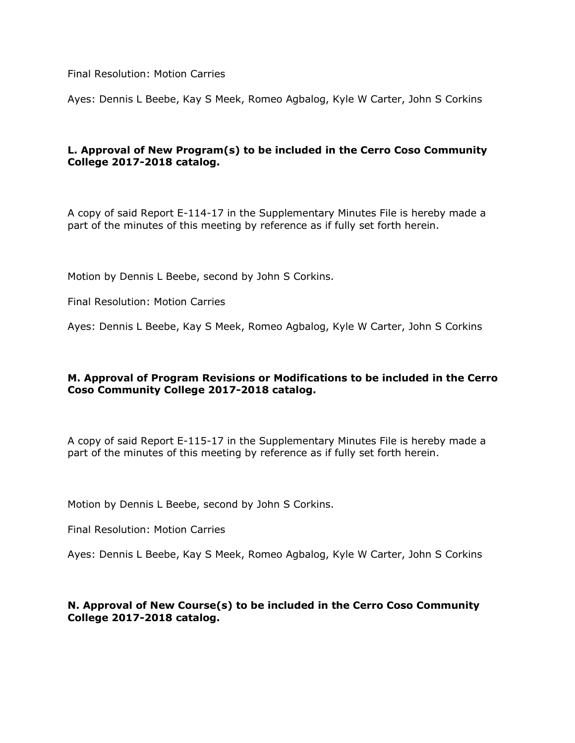Final Resolution: Motion Carries

Ayes: Dennis L Beebe, Kay S Meek, Romeo Agbalog, Kyle W Carter, John S Corkins

# **L. Approval of New Program(s) to be included in the Cerro Coso Community College 2017-2018 catalog.**

A copy of said Report E-114-17 in the Supplementary Minutes File is hereby made a part of the minutes of this meeting by reference as if fully set forth herein.

Motion by Dennis L Beebe, second by John S Corkins.

Final Resolution: Motion Carries

Ayes: Dennis L Beebe, Kay S Meek, Romeo Agbalog, Kyle W Carter, John S Corkins

### **M. Approval of Program Revisions or Modifications to be included in the Cerro Coso Community College 2017-2018 catalog.**

A copy of said Report E-115-17 in the Supplementary Minutes File is hereby made a part of the minutes of this meeting by reference as if fully set forth herein.

Motion by Dennis L Beebe, second by John S Corkins.

Final Resolution: Motion Carries

Ayes: Dennis L Beebe, Kay S Meek, Romeo Agbalog, Kyle W Carter, John S Corkins

### **N. Approval of New Course(s) to be included in the Cerro Coso Community College 2017-2018 catalog.**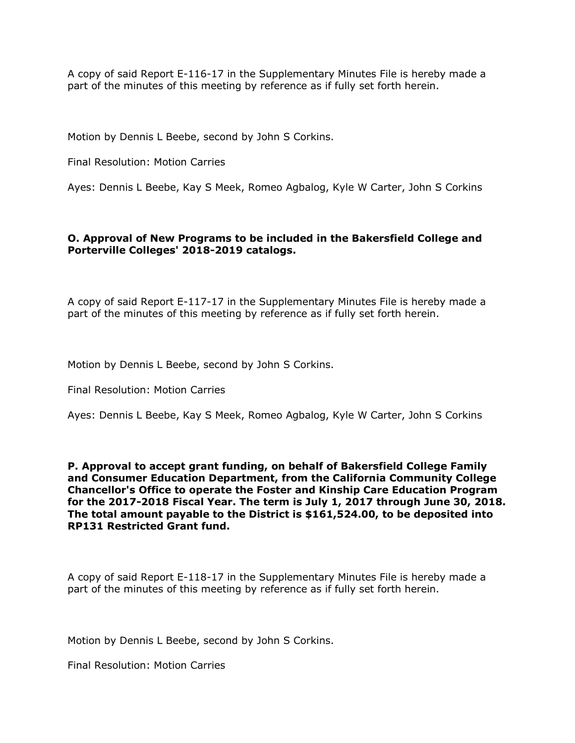A copy of said Report E-116-17 in the Supplementary Minutes File is hereby made a part of the minutes of this meeting by reference as if fully set forth herein.

Motion by Dennis L Beebe, second by John S Corkins.

Final Resolution: Motion Carries

Ayes: Dennis L Beebe, Kay S Meek, Romeo Agbalog, Kyle W Carter, John S Corkins

### **O. Approval of New Programs to be included in the Bakersfield College and Porterville Colleges' 2018-2019 catalogs.**

A copy of said Report E-117-17 in the Supplementary Minutes File is hereby made a part of the minutes of this meeting by reference as if fully set forth herein.

Motion by Dennis L Beebe, second by John S Corkins.

Final Resolution: Motion Carries

Ayes: Dennis L Beebe, Kay S Meek, Romeo Agbalog, Kyle W Carter, John S Corkins

**P. Approval to accept grant funding, on behalf of Bakersfield College Family and Consumer Education Department, from the California Community College Chancellor's Office to operate the Foster and Kinship Care Education Program for the 2017-2018 Fiscal Year. The term is July 1, 2017 through June 30, 2018. The total amount payable to the District is \$161,524.00, to be deposited into RP131 Restricted Grant fund.**

A copy of said Report E-118-17 in the Supplementary Minutes File is hereby made a part of the minutes of this meeting by reference as if fully set forth herein.

Motion by Dennis L Beebe, second by John S Corkins.

Final Resolution: Motion Carries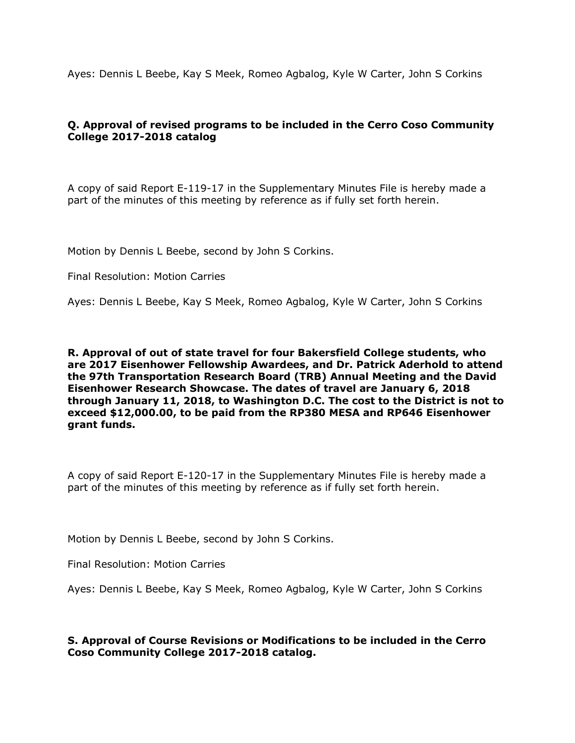Ayes: Dennis L Beebe, Kay S Meek, Romeo Agbalog, Kyle W Carter, John S Corkins

# **Q. Approval of revised programs to be included in the Cerro Coso Community College 2017-2018 catalog**

A copy of said Report E-119-17 in the Supplementary Minutes File is hereby made a part of the minutes of this meeting by reference as if fully set forth herein.

Motion by Dennis L Beebe, second by John S Corkins.

Final Resolution: Motion Carries

Ayes: Dennis L Beebe, Kay S Meek, Romeo Agbalog, Kyle W Carter, John S Corkins

**R. Approval of out of state travel for four Bakersfield College students, who are 2017 Eisenhower Fellowship Awardees, and Dr. Patrick Aderhold to attend the 97th Transportation Research Board (TRB) Annual Meeting and the David Eisenhower Research Showcase. The dates of travel are January 6, 2018 through January 11, 2018, to Washington D.C. The cost to the District is not to exceed \$12,000.00, to be paid from the RP380 MESA and RP646 Eisenhower grant funds.**

A copy of said Report E-120-17 in the Supplementary Minutes File is hereby made a part of the minutes of this meeting by reference as if fully set forth herein.

Motion by Dennis L Beebe, second by John S Corkins.

Final Resolution: Motion Carries

Ayes: Dennis L Beebe, Kay S Meek, Romeo Agbalog, Kyle W Carter, John S Corkins

### **S. Approval of Course Revisions or Modifications to be included in the Cerro Coso Community College 2017-2018 catalog.**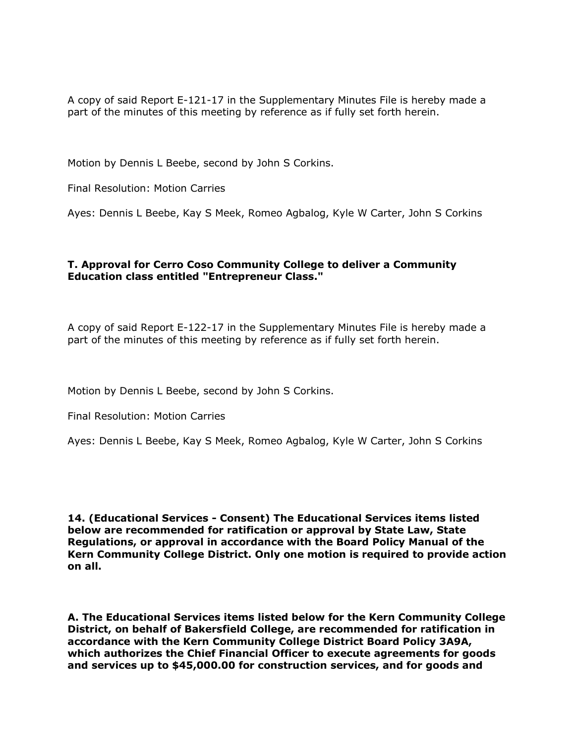A copy of said Report E-121-17 in the Supplementary Minutes File is hereby made a part of the minutes of this meeting by reference as if fully set forth herein.

Motion by Dennis L Beebe, second by John S Corkins.

Final Resolution: Motion Carries

Ayes: Dennis L Beebe, Kay S Meek, Romeo Agbalog, Kyle W Carter, John S Corkins

### **T. Approval for Cerro Coso Community College to deliver a Community Education class entitled "Entrepreneur Class."**

A copy of said Report E-122-17 in the Supplementary Minutes File is hereby made a part of the minutes of this meeting by reference as if fully set forth herein.

Motion by Dennis L Beebe, second by John S Corkins.

Final Resolution: Motion Carries

Ayes: Dennis L Beebe, Kay S Meek, Romeo Agbalog, Kyle W Carter, John S Corkins

**14. (Educational Services - Consent) The Educational Services items listed below are recommended for ratification or approval by State Law, State Regulations, or approval in accordance with the Board Policy Manual of the Kern Community College District. Only one motion is required to provide action on all.**

**A. The Educational Services items listed below for the Kern Community College District, on behalf of Bakersfield College, are recommended for ratification in accordance with the Kern Community College District Board Policy 3A9A, which authorizes the Chief Financial Officer to execute agreements for goods and services up to \$45,000.00 for construction services, and for goods and**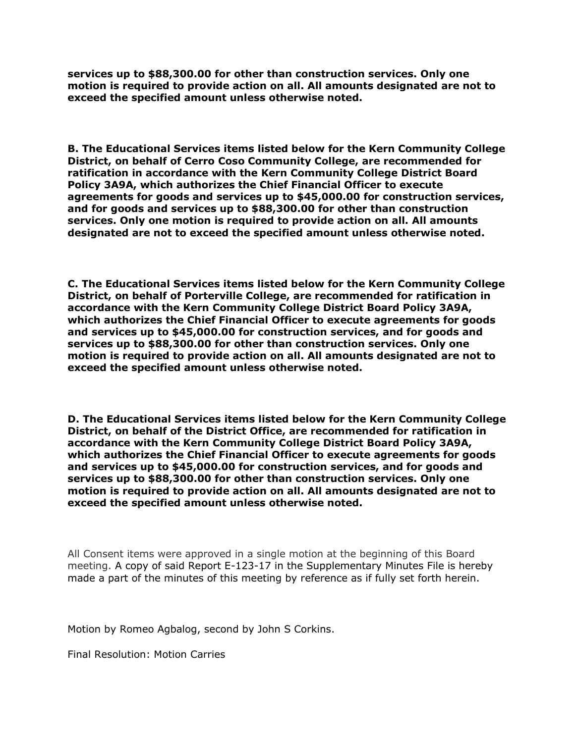**services up to \$88,300.00 for other than construction services. Only one motion is required to provide action on all. All amounts designated are not to exceed the specified amount unless otherwise noted.**

**B. The Educational Services items listed below for the Kern Community College District, on behalf of Cerro Coso Community College, are recommended for ratification in accordance with the Kern Community College District Board Policy 3A9A, which authorizes the Chief Financial Officer to execute agreements for goods and services up to \$45,000.00 for construction services, and for goods and services up to \$88,300.00 for other than construction services. Only one motion is required to provide action on all. All amounts designated are not to exceed the specified amount unless otherwise noted.**

**C. The Educational Services items listed below for the Kern Community College District, on behalf of Porterville College, are recommended for ratification in accordance with the Kern Community College District Board Policy 3A9A, which authorizes the Chief Financial Officer to execute agreements for goods and services up to \$45,000.00 for construction services, and for goods and services up to \$88,300.00 for other than construction services. Only one motion is required to provide action on all. All amounts designated are not to exceed the specified amount unless otherwise noted.**

**D. The Educational Services items listed below for the Kern Community College District, on behalf of the District Office, are recommended for ratification in accordance with the Kern Community College District Board Policy 3A9A, which authorizes the Chief Financial Officer to execute agreements for goods and services up to \$45,000.00 for construction services, and for goods and services up to \$88,300.00 for other than construction services. Only one motion is required to provide action on all. All amounts designated are not to exceed the specified amount unless otherwise noted.**

All Consent items were approved in a single motion at the beginning of this Board meeting. A copy of said Report E-123-17 in the Supplementary Minutes File is hereby made a part of the minutes of this meeting by reference as if fully set forth herein.

Motion by Romeo Agbalog, second by John S Corkins.

Final Resolution: Motion Carries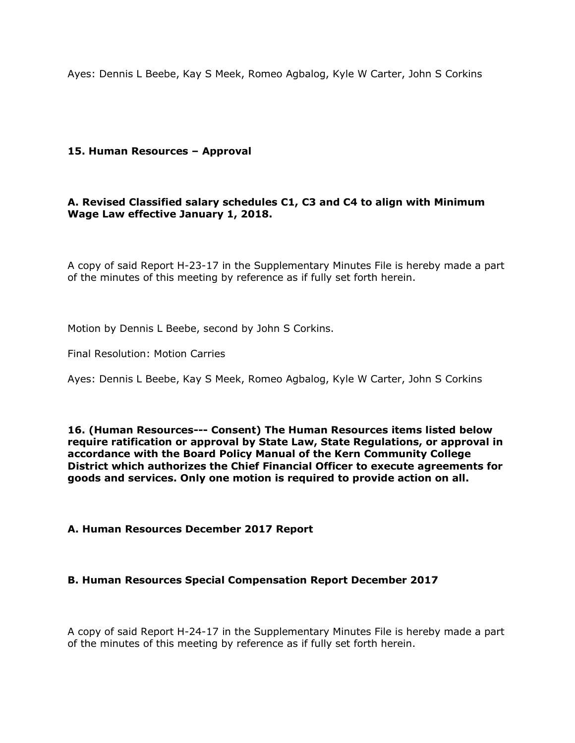Ayes: Dennis L Beebe, Kay S Meek, Romeo Agbalog, Kyle W Carter, John S Corkins

### **15. Human Resources – Approval**

## **A. Revised Classified salary schedules C1, C3 and C4 to align with Minimum Wage Law effective January 1, 2018.**

A copy of said Report H-23-17 in the Supplementary Minutes File is hereby made a part of the minutes of this meeting by reference as if fully set forth herein.

Motion by Dennis L Beebe, second by John S Corkins.

Final Resolution: Motion Carries

Ayes: Dennis L Beebe, Kay S Meek, Romeo Agbalog, Kyle W Carter, John S Corkins

**16. (Human Resources--- Consent) The Human Resources items listed below require ratification or approval by State Law, State Regulations, or approval in accordance with the Board Policy Manual of the Kern Community College District which authorizes the Chief Financial Officer to execute agreements for goods and services. Only one motion is required to provide action on all.**

### **A. Human Resources December 2017 Report**

### **B. Human Resources Special Compensation Report December 2017**

A copy of said Report H-24-17 in the Supplementary Minutes File is hereby made a part of the minutes of this meeting by reference as if fully set forth herein.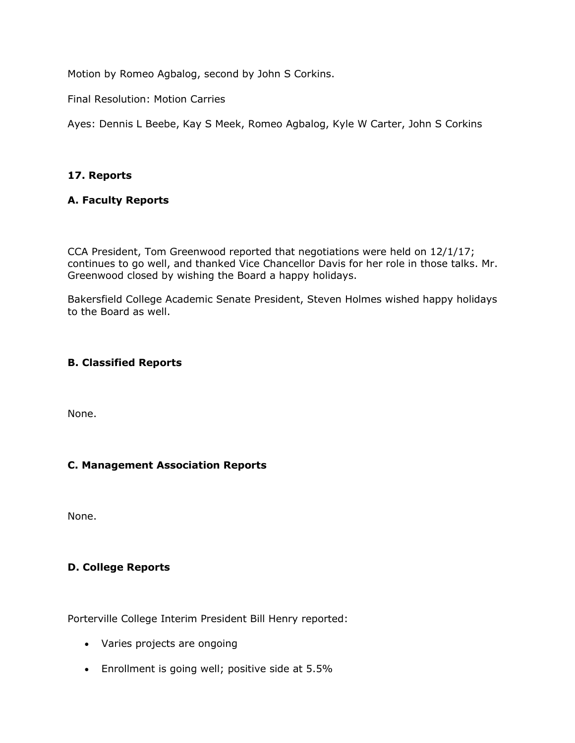Motion by Romeo Agbalog, second by John S Corkins.

Final Resolution: Motion Carries

Ayes: Dennis L Beebe, Kay S Meek, Romeo Agbalog, Kyle W Carter, John S Corkins

# **17. Reports**

# **A. Faculty Reports**

CCA President, Tom Greenwood reported that negotiations were held on 12/1/17; continues to go well, and thanked Vice Chancellor Davis for her role in those talks. Mr. Greenwood closed by wishing the Board a happy holidays.

Bakersfield College Academic Senate President, Steven Holmes wished happy holidays to the Board as well.

# **B. Classified Reports**

None.

# **C. Management Association Reports**

None.

# **D. College Reports**

Porterville College Interim President Bill Henry reported:

- Varies projects are ongoing
- Enrollment is going well; positive side at 5.5%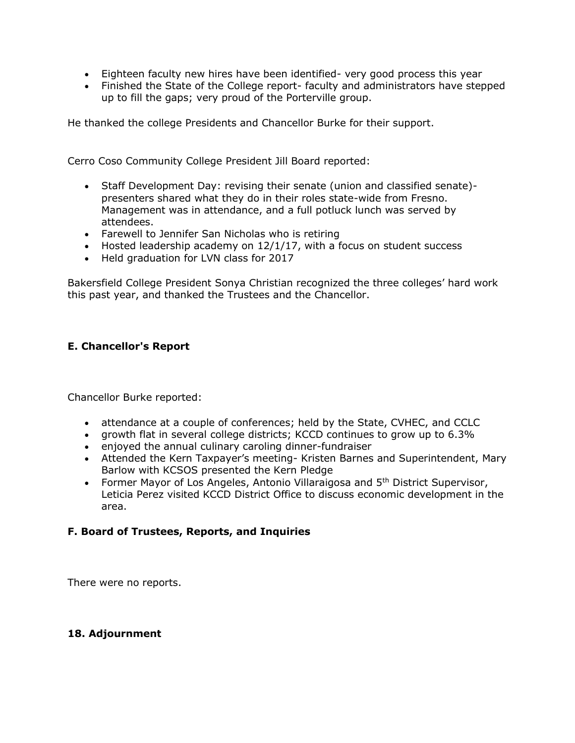- Eighteen faculty new hires have been identified- very good process this year
- Finished the State of the College report- faculty and administrators have stepped up to fill the gaps; very proud of the Porterville group.

He thanked the college Presidents and Chancellor Burke for their support.

Cerro Coso Community College President Jill Board reported:

- Staff Development Day: revising their senate (union and classified senate) presenters shared what they do in their roles state-wide from Fresno. Management was in attendance, and a full potluck lunch was served by attendees.
- Farewell to Jennifer San Nicholas who is retiring
- $\bullet$  Hosted leadership academy on 12/1/17, with a focus on student success
- Held graduation for LVN class for 2017

Bakersfield College President Sonya Christian recognized the three colleges' hard work this past year, and thanked the Trustees and the Chancellor.

# **E. Chancellor's Report**

Chancellor Burke reported:

- attendance at a couple of conferences; held by the State, CVHEC, and CCLC
- growth flat in several college districts; KCCD continues to grow up to 6.3%
- enjoyed the annual culinary caroling dinner-fundraiser
- Attended the Kern Taxpayer's meeting- Kristen Barnes and Superintendent, Mary Barlow with KCSOS presented the Kern Pledge
- Former Mayor of Los Angeles, Antonio Villaraigosa and 5<sup>th</sup> District Supervisor, Leticia Perez visited KCCD District Office to discuss economic development in the area.

# **F. Board of Trustees, Reports, and Inquiries**

There were no reports.

### **18. Adjournment**